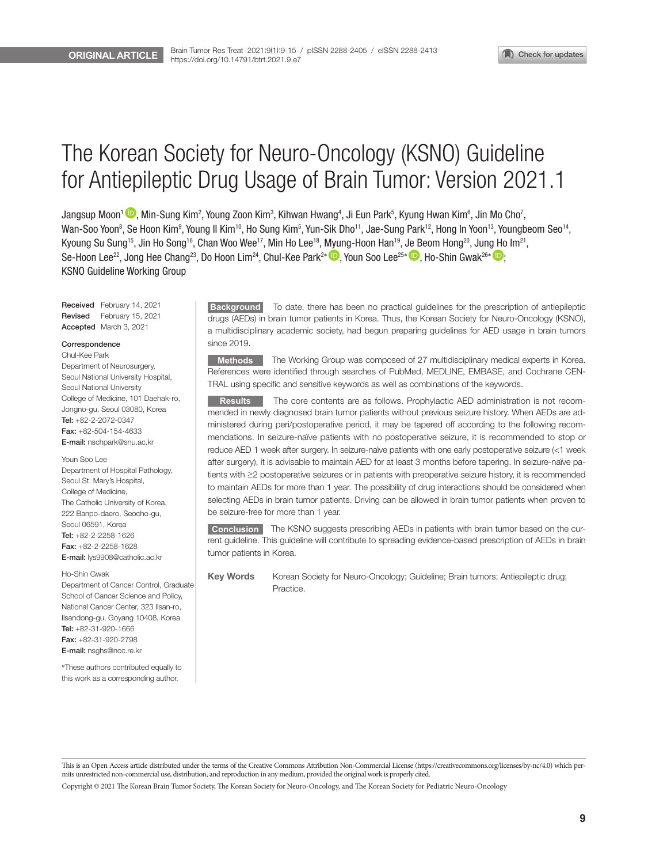# The Korean Society for Neuro-Oncology (KSNO) Guideline for Antiepileptic Drug Usage of Brain Tumor: Version 2021.1

Jangsup Moon<sup>1</sup> ��, Min-Sung Kim<sup>2</sup>, Young Zoon Kim $^3$ , Kihwan Hwang $^4$ , Ji Eun Park $^5$ , Kyung Hwan Kim $^6$ , Jin Mo Cho $^7$ , Wan-Soo Yoon<sup>8</sup>, Se Hoon Kim<sup>9</sup>, Young Il Kim<sup>10</sup>, Ho Sung Kim<sup>5</sup>, Yun-Sik Dho<sup>11</sup>, Jae-Sung Park<sup>12</sup>, Hong In Yoon<sup>13</sup>, Youngbeom Seo<sup>14</sup>, Kyoung Su Sung<sup>15</sup>, Jin Ho Song<sup>16</sup>, Chan Woo Wee<sup>17</sup>, Min Ho Lee<sup>18</sup>, Myung-Hoon Han<sup>19</sup>, Je Beom Hong<sup>20</sup>, Jung Ho Im<sup>21</sup>, Se-Hoon Lee<sup>22</sup>, Jong Hee Chang<sup>23</sup>, Do Hoon Lim<sup>24</sup>, Chul-Kee Park<sup>2\*</sup>  $\bullet$ , Youn Soo Lee<sup>25\*</sup>  $\bullet$ , Ho-Shin Gwak<sup>26\*</sup>  $\bullet$ ; KSNO Guideline Working Group

Received February 14, 2021 Revised February 15, 2021 Accepted March 3, 2021

#### Correspondence

Chul-Kee Park Department of Neurosurgery, Seoul National University Hospital, Seoul National University College of Medicine, 101 Daehak-ro, Jongno-gu, Seoul 03080, Korea Tel: +82-2-2072-0347 Fax: +82-504-154-4633 E-mail: nschpark@snu.ac.kr

Youn Soo Lee

Department of Hospital Pathology, Seoul St. Mary's Hospital, College of Medicine, The Catholic University of Korea, 222 Banpo-daero, Seocho-gu, Seoul 06591, Korea Tel: +82-2-2258-1626 Fax: +82-2-2258-1628 E-mail: lys9908@catholic.ac.kr

#### Ho-Shin Gwak

Department of Cancer Control, Graduate School of Cancer Science and Policy, National Cancer Center, 323 Ilsan-ro, Ilsandong-gu, Goyang 10408, Korea Tel: +82-31-920-1666 Fax: +82-31-920-2798 E-mail: nsghs@ncc.re.kr

\*These authors contributed equally to this work as a corresponding author.

**Background** To date, there has been no practical guidelines for the prescription of antiepileptic drugs (AEDs) in brain tumor patients in Korea. Thus, the Korean Society for Neuro-Oncology (KSNO), a multidisciplinary academic society, had begun preparing guidelines for AED usage in brain tumors since 2019.

**Methods** The Working Group was composed of 27 multidisciplinary medical experts in Korea. References were identified through searches of PubMed, MEDLINE, EMBASE, and Cochrane CEN-TRAL using specific and sensitive keywords as well as combinations of the keywords.

**Results** The core contents are as follows. Prophylactic AED administration is not recommended in newly diagnosed brain tumor patients without previous seizure history. When AEDs are administered during peri/postoperative period, it may be tapered off according to the following recommendations. In seizure-naïve patients with no postoperative seizure, it is recommended to stop or reduce AED 1 week after surgery. In seizure-naïve patients with one early postoperative seizure (<1 week after surgery), it is advisable to maintain AED for at least 3 months before tapering. In seizure-naïve patients with ≥2 postoperative seizures or in patients with preoperative seizure history, it is recommended to maintain AEDs for more than 1 year. The possibility of drug interactions should be considered when selecting AEDs in brain tumor patients. Driving can be allowed in brain tumor patients when proven to be seizure-free for more than 1 year.

**Conclusion** The KSNO suggests prescribing AEDs in patients with brain tumor based on the current guideline. This guideline will contribute to spreading evidence-based prescription of AEDs in brain tumor patients in Korea.

Key WordsKorean Society for Neuro-Oncology; Guideline; Brain tumors; Antiepileptic drug; Practice.

Copyright © 2021 The Korean Brain Tumor Society, The Korean Society for Neuro-Oncology, and The Korean Society for Pediatric Neuro-Oncology

This is an Open Access article distributed under the terms of the Creative Commons Attribution Non-Commercial License (https://creativecommons.org/licenses/by-nc/4.0) which permits unrestricted non-commercial use, distribution, and reproduction in any medium, provided the original work is properly cited.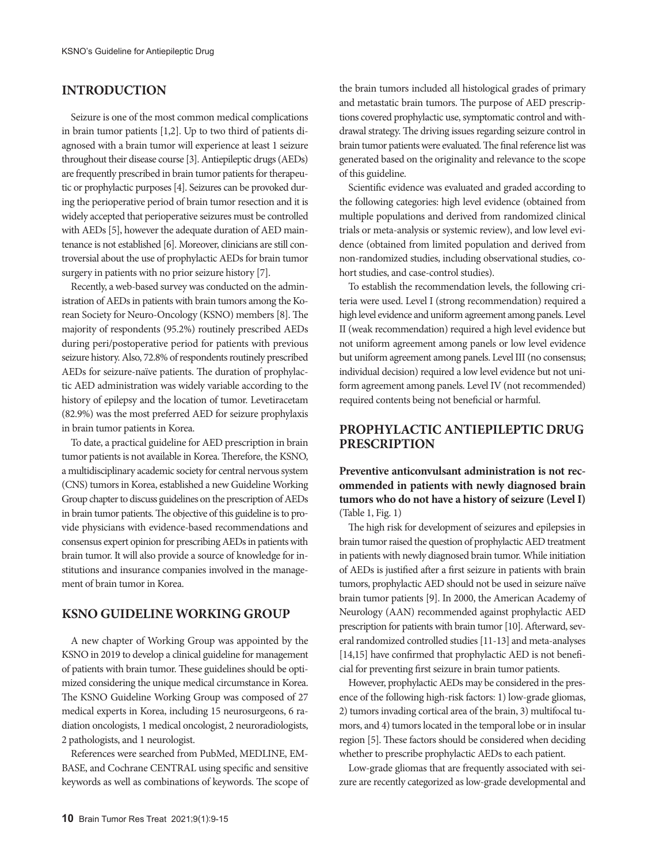# **INTRODUCTION**

Seizure is one of the most common medical complications in brain tumor patients [1,2]. Up to two third of patients diagnosed with a brain tumor will experience at least 1 seizure throughout their disease course [3]. Antiepileptic drugs (AEDs) are frequently prescribed in brain tumor patients for therapeutic or prophylactic purposes [4]. Seizures can be provoked during the perioperative period of brain tumor resection and it is widely accepted that perioperative seizures must be controlled with AEDs [5], however the adequate duration of AED maintenance is not established [6]. Moreover, clinicians are still controversial about the use of prophylactic AEDs for brain tumor surgery in patients with no prior seizure history [7].

Recently, a web-based survey was conducted on the administration of AEDs in patients with brain tumors among the Korean Society for Neuro-Oncology (KSNO) members [8]. The majority of respondents (95.2%) routinely prescribed AEDs during peri/postoperative period for patients with previous seizure history. Also, 72.8% of respondents routinely prescribed AEDs for seizure-naïve patients. The duration of prophylactic AED administration was widely variable according to the history of epilepsy and the location of tumor. Levetiracetam (82.9%) was the most preferred AED for seizure prophylaxis in brain tumor patients in Korea.

To date, a practical guideline for AED prescription in brain tumor patients is not available in Korea. Therefore, the KSNO, a multidisciplinary academic society for central nervous system (CNS) tumors in Korea, established a new Guideline Working Group chapter to discuss guidelines on the prescription of AEDs in brain tumor patients. The objective of this guideline is to provide physicians with evidence-based recommendations and consensus expert opinion for prescribing AEDs in patients with brain tumor. It will also provide a source of knowledge for institutions and insurance companies involved in the management of brain tumor in Korea.

### **KSNO GUIDELINE WORKING GROUP**

A new chapter of Working Group was appointed by the KSNO in 2019 to develop a clinical guideline for management of patients with brain tumor. These guidelines should be optimized considering the unique medical circumstance in Korea. The KSNO Guideline Working Group was composed of 27 medical experts in Korea, including 15 neurosurgeons, 6 radiation oncologists, 1 medical oncologist, 2 neuroradiologists, 2 pathologists, and 1 neurologist.

References were searched from PubMed, MEDLINE, EM-BASE, and Cochrane CENTRAL using specific and sensitive keywords as well as combinations of keywords. The scope of the brain tumors included all histological grades of primary and metastatic brain tumors. The purpose of AED prescriptions covered prophylactic use, symptomatic control and withdrawal strategy. The driving issues regarding seizure control in brain tumor patients were evaluated. The final reference list was generated based on the originality and relevance to the scope of this guideline.

Scientific evidence was evaluated and graded according to the following categories: high level evidence (obtained from multiple populations and derived from randomized clinical trials or meta-analysis or systemic review), and low level evidence (obtained from limited population and derived from non-randomized studies, including observational studies, cohort studies, and case-control studies).

To establish the recommendation levels, the following criteria were used. Level I (strong recommendation) required a high level evidence and uniform agreement among panels. Level II (weak recommendation) required a high level evidence but not uniform agreement among panels or low level evidence but uniform agreement among panels. Level III (no consensus; individual decision) required a low level evidence but not uniform agreement among panels. Level IV (not recommended) required contents being not beneficial or harmful.

# **PROPHYLACTIC ANTIEPILEPTIC DRUG PRESCRIPTION**

**Preventive anticonvulsant administration is not recommended in patients with newly diagnosed brain tumors who do not have a history of seizure (Level I)**  (Table 1, Fig. 1)

The high risk for development of seizures and epilepsies in brain tumor raised the question of prophylactic AED treatment in patients with newly diagnosed brain tumor. While initiation of AEDs is justified after a first seizure in patients with brain tumors, prophylactic AED should not be used in seizure naïve brain tumor patients [9]. In 2000, the American Academy of Neurology (AAN) recommended against prophylactic AED prescription for patients with brain tumor [10]. Afterward, several randomized controlled studies [11-13] and meta-analyses [14,15] have confirmed that prophylactic AED is not beneficial for preventing first seizure in brain tumor patients.

However, prophylactic AEDs may be considered in the presence of the following high-risk factors: 1) low-grade gliomas, 2) tumors invading cortical area of the brain, 3) multifocal tumors, and 4) tumors located in the temporal lobe or in insular region [5]. These factors should be considered when deciding whether to prescribe prophylactic AEDs to each patient.

Low-grade gliomas that are frequently associated with seizure are recently categorized as low-grade developmental and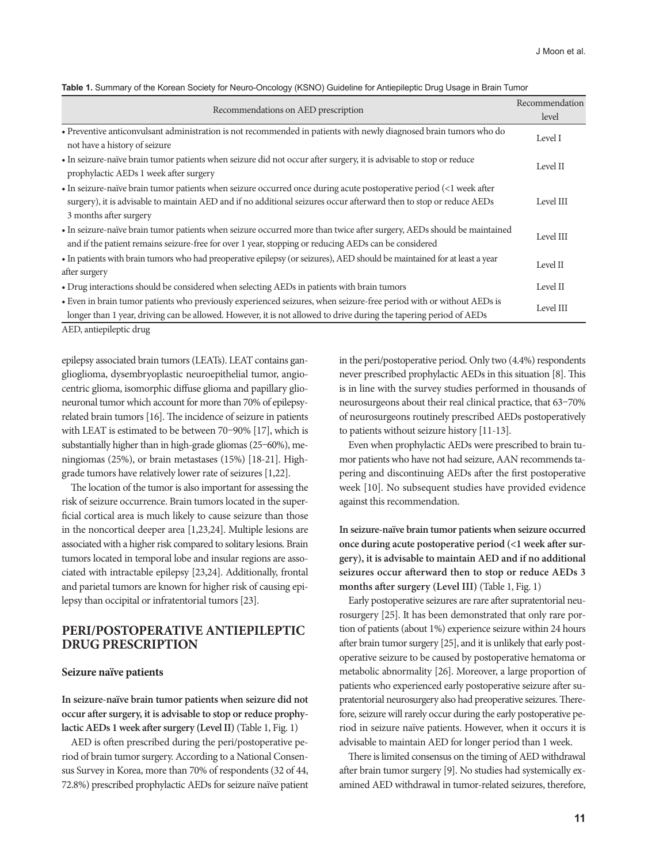| Table 1. Summary of the Korean Society for Neuro-Oncology (KSNO) Guideline for Antiepileptic Drug Usage in Brain Tumor |  |  |  |  |
|------------------------------------------------------------------------------------------------------------------------|--|--|--|--|
|------------------------------------------------------------------------------------------------------------------------|--|--|--|--|

| Recommendations on AED prescription                                                                                                                                                                                                                                  | Recommendation<br>level |
|----------------------------------------------------------------------------------------------------------------------------------------------------------------------------------------------------------------------------------------------------------------------|-------------------------|
| • Preventive anticonvulsant administration is not recommended in patients with newly diagnosed brain tumors who do<br>not have a history of seizure                                                                                                                  | Level I                 |
| • In seizure-naïve brain tumor patients when seizure did not occur after surgery, it is advisable to stop or reduce<br>prophylactic AEDs 1 week after surgery                                                                                                        | Level II                |
| · In seizure-naïve brain tumor patients when seizure occurred once during acute postoperative period (<1 week after<br>surgery), it is advisable to maintain AED and if no additional seizures occur afterward then to stop or reduce AEDs<br>3 months after surgery | Level III               |
| • In seizure-naïve brain tumor patients when seizure occurred more than twice after surgery, AEDs should be maintained<br>and if the patient remains seizure-free for over 1 year, stopping or reducing AEDs can be considered                                       | Level III               |
| • In patients with brain tumors who had preoperative epilepsy (or seizures), AED should be maintained for at least a year<br>after surgery                                                                                                                           | Level II                |
| • Drug interactions should be considered when selecting AEDs in patients with brain tumors                                                                                                                                                                           | Level II                |
| • Even in brain tumor patients who previously experienced seizures, when seizure-free period with or without AEDs is<br>longer than 1 year, driving can be allowed. However, it is not allowed to drive during the tapering period of AEDs                           | Level III               |

AED, antiepileptic drug

epilepsy associated brain tumors (LEATs). LEAT contains ganglioglioma, dysembryoplastic neuroepithelial tumor, angiocentric glioma, isomorphic diffuse glioma and papillary glioneuronal tumor which account for more than 70% of epilepsyrelated brain tumors [16]. The incidence of seizure in patients with LEAT is estimated to be between 70–90% [17], which is substantially higher than in high-grade gliomas (25–60%), meningiomas (25%), or brain metastases (15%) [18-21]. Highgrade tumors have relatively lower rate of seizures [1,22].

The location of the tumor is also important for assessing the risk of seizure occurrence. Brain tumors located in the superficial cortical area is much likely to cause seizure than those in the noncortical deeper area [1,23,24]. Multiple lesions are associated with a higher risk compared to solitary lesions. Brain tumors located in temporal lobe and insular regions are associated with intractable epilepsy [23,24]. Additionally, frontal and parietal tumors are known for higher risk of causing epilepsy than occipital or infratentorial tumors [23].

# **PERI/POSTOPERATIVE ANTIEPILEPTIC DRUG PRESCRIPTION**

#### **Seizure naïve patients**

**In seizure-naïve brain tumor patients when seizure did not occur after surgery, it is advisable to stop or reduce prophylactic AEDs 1 week after surgery (Level II)** (Table 1, Fig. 1)

AED is often prescribed during the peri/postoperative period of brain tumor surgery. According to a National Consensus Survey in Korea, more than 70% of respondents (32 of 44, 72.8%) prescribed prophylactic AEDs for seizure naïve patient in the peri/postoperative period. Only two (4.4%) respondents never prescribed prophylactic AEDs in this situation [8]. This is in line with the survey studies performed in thousands of neurosurgeons about their real clinical practice, that 63–70% of neurosurgeons routinely prescribed AEDs postoperatively to patients without seizure history [11-13].

Even when prophylactic AEDs were prescribed to brain tumor patients who have not had seizure, AAN recommends tapering and discontinuing AEDs after the first postoperative week [10]. No subsequent studies have provided evidence against this recommendation.

**In seizure-naïve brain tumor patients when seizure occurred once during acute postoperative period (<1 week after surgery), it is advisable to maintain AED and if no additional seizures occur afterward then to stop or reduce AEDs 3 months after surgery (Level III)** (Table 1, Fig. 1)

Early postoperative seizures are rare after supratentorial neurosurgery [25]. It has been demonstrated that only rare portion of patients (about 1%) experience seizure within 24 hours after brain tumor surgery [25], and it is unlikely that early postoperative seizure to be caused by postoperative hematoma or metabolic abnormality [26]. Moreover, a large proportion of patients who experienced early postoperative seizure after supratentorial neurosurgery also had preoperative seizures. Therefore, seizure will rarely occur during the early postoperative period in seizure naïve patients. However, when it occurs it is advisable to maintain AED for longer period than 1 week.

There is limited consensus on the timing of AED withdrawal after brain tumor surgery [9]. No studies had systemically examined AED withdrawal in tumor-related seizures, therefore,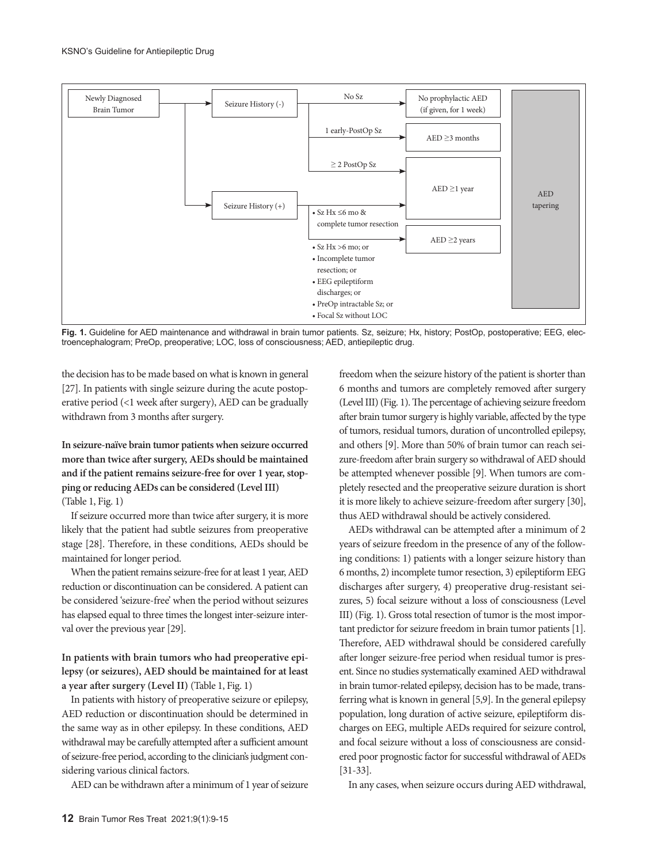

**Fig. 1.** Guideline for AED maintenance and withdrawal in brain tumor patients. Sz, seizure; Hx, history; PostOp, postoperative; EEG, electroencephalogram; PreOp, preoperative; LOC, loss of consciousness; AED, antiepileptic drug.

the decision has to be made based on what is known in general [27]. In patients with single seizure during the acute postoperative period (<1 week after surgery), AED can be gradually withdrawn from 3 months after surgery.

**In seizure-naïve brain tumor patients when seizure occurred more than twice after surgery, AEDs should be maintained and if the patient remains seizure-free for over 1 year, stopping or reducing AEDs can be considered (Level III)**  (Table 1, Fig. 1)

If seizure occurred more than twice after surgery, it is more likely that the patient had subtle seizures from preoperative stage [28]. Therefore, in these conditions, AEDs should be maintained for longer period.

When the patient remains seizure-free for at least 1 year, AED reduction or discontinuation can be considered. A patient can be considered 'seizure-free' when the period without seizures has elapsed equal to three times the longest inter-seizure interval over the previous year [29].

## **In patients with brain tumors who had preoperative epilepsy (or seizures), AED should be maintained for at least a year after surgery (Level II)** (Table 1, Fig. 1)

In patients with history of preoperative seizure or epilepsy, AED reduction or discontinuation should be determined in the same way as in other epilepsy. In these conditions, AED withdrawal may be carefully attempted after a sufficient amount of seizure-free period, according to the clinician's judgment considering various clinical factors.

AED can be withdrawn after a minimum of 1 year of seizure

freedom when the seizure history of the patient is shorter than 6 months and tumors are completely removed after surgery (Level III) (Fig. 1). The percentage of achieving seizure freedom after brain tumor surgery is highly variable, affected by the type of tumors, residual tumors, duration of uncontrolled epilepsy, and others [9]. More than 50% of brain tumor can reach seizure-freedom after brain surgery so withdrawal of AED should be attempted whenever possible [9]. When tumors are completely resected and the preoperative seizure duration is short it is more likely to achieve seizure-freedom after surgery [30], thus AED withdrawal should be actively considered.

AEDs withdrawal can be attempted after a minimum of 2 years of seizure freedom in the presence of any of the following conditions: 1) patients with a longer seizure history than 6 months, 2) incomplete tumor resection, 3) epileptiform EEG discharges after surgery, 4) preoperative drug-resistant seizures, 5) focal seizure without a loss of consciousness (Level III) (Fig. 1). Gross total resection of tumor is the most important predictor for seizure freedom in brain tumor patients [1]. Therefore, AED withdrawal should be considered carefully after longer seizure-free period when residual tumor is present. Since no studies systematically examined AED withdrawal in brain tumor-related epilepsy, decision has to be made, transferring what is known in general [5,9]. In the general epilepsy population, long duration of active seizure, epileptiform discharges on EEG, multiple AEDs required for seizure control, and focal seizure without a loss of consciousness are considered poor prognostic factor for successful withdrawal of AEDs [31-33].

In any cases, when seizure occurs during AED withdrawal,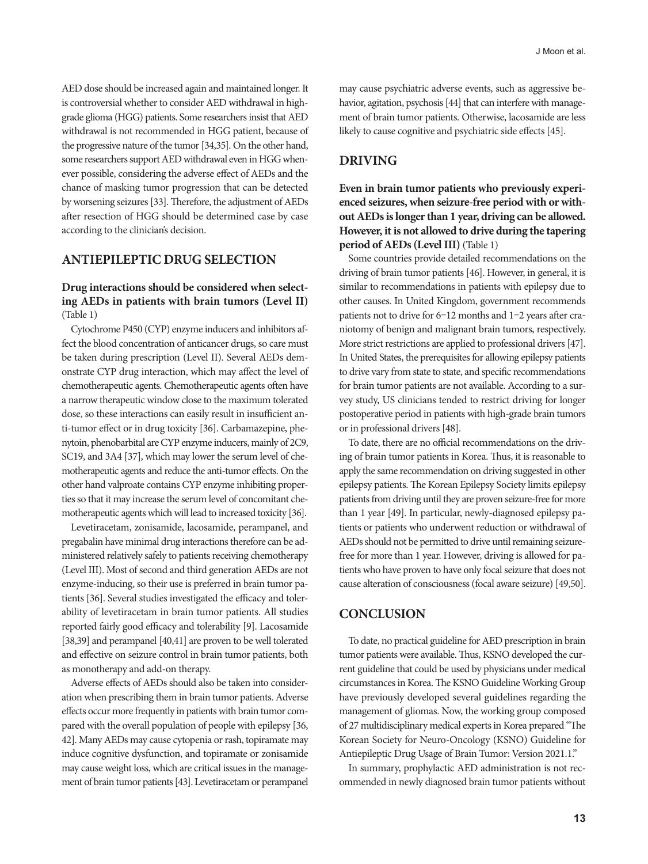AED dose should be increased again and maintained longer. It is controversial whether to consider AED withdrawal in highgrade glioma (HGG) patients. Some researchers insist that AED withdrawal is not recommended in HGG patient, because of the progressive nature of the tumor [34,35]. On the other hand, some researchers support AED withdrawal even in HGG whenever possible, considering the adverse effect of AEDs and the chance of masking tumor progression that can be detected

by worsening seizures [33]. Therefore, the adjustment of AEDs after resection of HGG should be determined case by case according to the clinician's decision.

# **ANTIEPILEPTIC DRUG SELECTION**

### **Drug interactions should be considered when selecting AEDs in patients with brain tumors (Level II)**  (Table 1)

Cytochrome P450 (CYP) enzyme inducers and inhibitors affect the blood concentration of anticancer drugs, so care must be taken during prescription (Level II). Several AEDs demonstrate CYP drug interaction, which may affect the level of chemotherapeutic agents. Chemotherapeutic agents often have a narrow therapeutic window close to the maximum tolerated dose, so these interactions can easily result in insufficient anti-tumor effect or in drug toxicity [36]. Carbamazepine, phenytoin, phenobarbital are CYP enzyme inducers, mainly of 2C9, SC19, and 3A4 [37], which may lower the serum level of chemotherapeutic agents and reduce the anti-tumor effects. On the other hand valproate contains CYP enzyme inhibiting properties so that it may increase the serum level of concomitant chemotherapeutic agents which will lead to increased toxicity [36].

Levetiracetam, zonisamide, lacosamide, perampanel, and pregabalin have minimal drug interactions therefore can be administered relatively safely to patients receiving chemotherapy (Level III). Most of second and third generation AEDs are not enzyme-inducing, so their use is preferred in brain tumor patients [36]. Several studies investigated the efficacy and tolerability of levetiracetam in brain tumor patients. All studies reported fairly good efficacy and tolerability [9]. Lacosamide [38,39] and perampanel [40,41] are proven to be well tolerated and effective on seizure control in brain tumor patients, both as monotherapy and add-on therapy.

Adverse effects of AEDs should also be taken into consideration when prescribing them in brain tumor patients. Adverse effects occur more frequently in patients with brain tumor compared with the overall population of people with epilepsy [36, 42]. Many AEDs may cause cytopenia or rash, topiramate may induce cognitive dysfunction, and topiramate or zonisamide may cause weight loss, which are critical issues in the management of brain tumor patients [43]. Levetiracetam or perampanel may cause psychiatric adverse events, such as aggressive behavior, agitation, psychosis [44] that can interfere with management of brain tumor patients. Otherwise, lacosamide are less likely to cause cognitive and psychiatric side effects [45].

# **DRIVING**

**Even in brain tumor patients who previously experienced seizures, when seizure-free period with or without AEDs is longer than 1 year, driving can be allowed. However, it is not allowed to drive during the tapering period of AEDs (Level III)** (Table 1)

Some countries provide detailed recommendations on the driving of brain tumor patients [46]. However, in general, it is similar to recommendations in patients with epilepsy due to other causes. In United Kingdom, government recommends patients not to drive for 6–12 months and 1–2 years after craniotomy of benign and malignant brain tumors, respectively. More strict restrictions are applied to professional drivers [47]. In United States, the prerequisites for allowing epilepsy patients to drive vary from state to state, and specific recommendations for brain tumor patients are not available. According to a survey study, US clinicians tended to restrict driving for longer postoperative period in patients with high-grade brain tumors or in professional drivers [48].

To date, there are no official recommendations on the driving of brain tumor patients in Korea. Thus, it is reasonable to apply the same recommendation on driving suggested in other epilepsy patients. The Korean Epilepsy Society limits epilepsy patients from driving until they are proven seizure-free for more than 1 year [49]. In particular, newly-diagnosed epilepsy patients or patients who underwent reduction or withdrawal of AEDs should not be permitted to drive until remaining seizurefree for more than 1 year. However, driving is allowed for patients who have proven to have only focal seizure that does not cause alteration of consciousness (focal aware seizure) [49,50].

# **CONCLUSION**

To date, no practical guideline for AED prescription in brain tumor patients were available. Thus, KSNO developed the current guideline that could be used by physicians under medical circumstances in Korea. The KSNO Guideline Working Group have previously developed several guidelines regarding the management of gliomas. Now, the working group composed of 27 multidisciplinary medical experts in Korea prepared "The Korean Society for Neuro-Oncology (KSNO) Guideline for Antiepileptic Drug Usage of Brain Tumor: Version 2021.1."

In summary, prophylactic AED administration is not recommended in newly diagnosed brain tumor patients without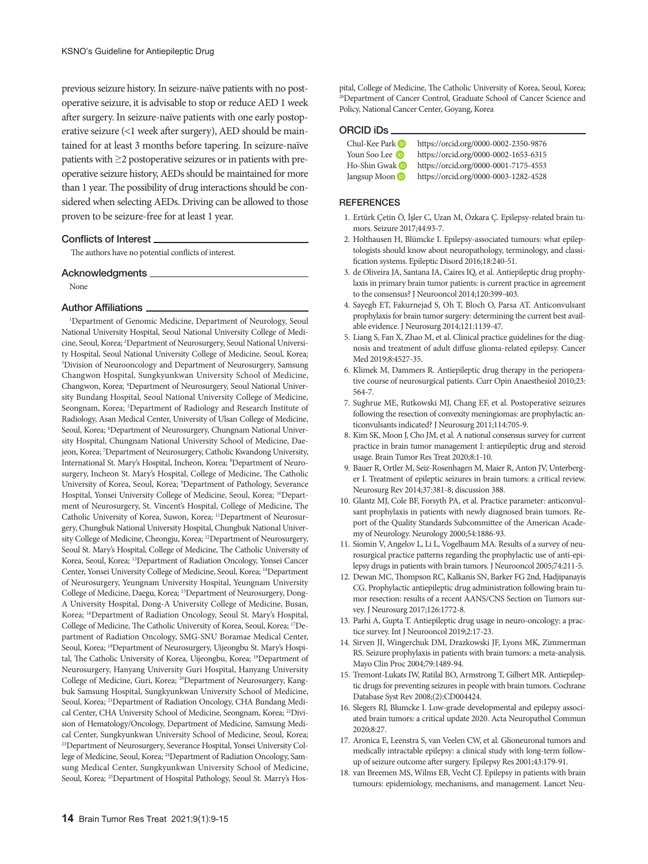previous seizure history. In seizure-naïve patients with no postoperative seizure, it is advisable to stop or reduce AED 1 week after surgery. In seizure-naïve patients with one early postoperative seizure (<1 week after surgery), AED should be maintained for at least 3 months before tapering. In seizure-naïve patients with ≥2 postoperative seizures or in patients with preoperative seizure history, AEDs should be maintained for more than 1 year. The possibility of drug interactions should be considered when selecting AEDs. Driving can be allowed to those proven to be seizure-free for at least 1 year.

#### Conflicts of Interest

The authors have no potential conflicts of interest.

#### Acknowledgments\_

None

#### Author Affiliations

1 Department of Genomic Medicine, Department of Neurology, Seoul National University Hospital, Seoul National University College of Medicine, Seoul, Korea; 2 Department of Neurosurgery, Seoul National University Hospital, Seoul National University College of Medicine, Seoul, Korea; 3 Division of Neurooncology and Department of Neurosurgery, Samsung Changwon Hospital, Sungkyunkwan University School of Medicine, Changwon, Korea; 4 Department of Neurosurgery, Seoul National University Bundang Hospital, Seoul National University College of Medicine, Seongnam, Korea; 5 Department of Radiology and Research Institute of Radiology, Asan Medical Center, University of Ulsan College of Medicine, Seoul, Korea; <sup>6</sup>Department of Neurosurgery, Chungnam National University Hospital, Chungnam National University School of Medicine, Daejeon, Korea; 7 Department of Neurosurgery, Catholic Kwandong University, International St. Mary's Hospital, Incheon, Korea; <sup>8</sup>Department of Neurosurgery, Incheon St. Mary's Hospital, College of Medicine, The Catholic University of Korea, Seoul, Korea; 9 Department of Pathology, Severance Hospital, Yonsei University College of Medicine, Seoul, Korea; <sup>10</sup>Department of Neurosurgery, St. Vincent's Hospital, College of Medicine, The Catholic University of Korea, Suwon, Korea; 11Department of Neurosurgery, Chungbuk National University Hospital, Chungbuk National University College of Medicine, Cheongju, Korea; 12Department of Neurosurgery, Seoul St. Mary's Hospital, College of Medicine, The Catholic University of Korea, Seoul, Korea; 13Department of Radiation Oncology, Yonsei Cancer Center, Yonsei University College of Medicine, Seoul, Korea; 14Department of Neurosurgery, Yeungnam University Hospital, Yeungnam University College of Medicine, Daegu, Korea; 15Department of Neurosurgery, Dong-A University Hospital, Dong-A University College of Medicine, Busan, Korea; 16Department of Radiation Oncology, Seoul St. Mary's Hospital, College of Medicine, The Catholic University of Korea, Seoul, Korea; 17Department of Radiation Oncology, SMG-SNU Boramae Medical Center, Seoul, Korea; 18Department of Neurosurgery, Uijeongbu St. Mary's Hospital, The Catholic University of Korea, Uijeongbu, Korea; 19Department of Neurosurgery, Hanyang University Guri Hospital, Hanyang University College of Medicine, Guri, Korea; 20Department of Neurosurgery, Kangbuk Samsung Hospital, Sungkyunkwan University School of Medicine, Seoul, Korea; 21Department of Radiation Oncology, CHA Bundang Medical Center, CHA University School of Medicine, Seongnam, Korea; 22Division of Hematology/Oncology, Department of Medicine, Samsung Medical Center, Sungkyunkwan University School of Medicine, Seoul, Korea; 23Department of Neurosurgery, Severance Hospital, Yonsei University College of Medicine, Seoul, Korea; 24Department of Radiation Oncology, Samsung Medical Center, Sungkyunkwan University School of Medicine, Seoul, Korea; <sup>25</sup>Department of Hospital Pathology, Seoul St. Marry's Hospital, College of Medicine, The Catholic University of Korea, Seoul, Korea; <sup>26</sup>Department of Cancer Control, Graduate School of Cancer Science and Policy, National Cancer Center, Goyang, Korea

#### ORCID iDs

Chul-Kee Park **b** https://orcid.org/0000-0002-2350-9876 Youn Soo Lee **b** https://orcid.org/0000-0002-1653-6315<br>Ho-Shin Gwak **b** https://orcid.org/0000-0001-7175-4553 https://orcid.org/0000-0001-7175-4553 Jangsup Moon https://orcid.org/0000-0003-1282-4528

#### **REFERENCES**

- 1. Ertürk Çetin Ö, İşler C, Uzan M, Özkara Ç. Epilepsy-related brain tumors. Seizure 2017;44:93-7.
- 2. Holthausen H, Blümcke I. Epilepsy-associated tumours: what epileptologists should know about neuropathology, terminology, and classification systems. Epileptic Disord 2016;18:240-51.
- 3. de Oliveira JA, Santana IA, Caires IQ, et al. Antiepileptic drug prophylaxis in primary brain tumor patients: is current practice in agreement to the consensus? J Neurooncol 2014;120:399-403.
- 4. Sayegh ET, Fakurnejad S, Oh T, Bloch O, Parsa AT. Anticonvulsant prophylaxis for brain tumor surgery: determining the current best available evidence. J Neurosurg 2014;121:1139-47.
- 5. Liang S, Fan X, Zhao M, et al. Clinical practice guidelines for the diagnosis and treatment of adult diffuse glioma-related epilepsy. Cancer Med 2019;8:4527-35.
- 6. Klimek M, Dammers R. Antiepileptic drug therapy in the perioperative course of neurosurgical patients. Curr Opin Anaesthesiol 2010;23: 564-7.
- 7. Sughrue ME, Rutkowski MJ, Chang EF, et al. Postoperative seizures following the resection of convexity meningiomas: are prophylactic anticonvulsants indicated? J Neurosurg 2011;114:705-9.
- 8. Kim SK, Moon J, Cho JM, et al. A national consensus survey for current practice in brain tumor management I: antiepileptic drug and steroid usage. Brain Tumor Res Treat 2020;8:1-10.
- 9. Bauer R, Ortler M, Seiz-Rosenhagen M, Maier R, Anton JV, Unterberger I. Treatment of epileptic seizures in brain tumors: a critical review. Neurosurg Rev 2014;37:381-8; discussion 388.
- 10. Glantz MJ, Cole BF, Forsyth PA, et al. Practice parameter: anticonvulsant prophylaxis in patients with newly diagnosed brain tumors. Report of the Quality Standards Subcommittee of the American Academy of Neurology. Neurology 2000;54:1886-93.
- 11. Siomin V, Angelov L, Li L, Vogelbaum MA. Results of a survey of neurosurgical practice patterns regarding the prophylactic use of anti-epilepsy drugs in patients with brain tumors. J Neurooncol 2005;74:211-5.
- 12. Dewan MC, Thompson RC, Kalkanis SN, Barker FG 2nd, Hadjipanayis CG. Prophylactic antiepileptic drug administration following brain tumor resection: results of a recent AANS/CNS Section on Tumors survey. J Neurosurg 2017;126:1772-8.
- 13. Parhi A, Gupta T. Antiepileptic drug usage in neuro-oncology: a practice survey. Int J Neurooncol 2019;2:17-23.
- 14. Sirven JI, Wingerchuk DM, Drazkowski JF, Lyons MK, Zimmerman RS. Seizure prophylaxis in patients with brain tumors: a meta-analysis. Mayo Clin Proc 2004;79:1489-94.
- 15. Tremont-Lukats IW, Ratilal BO, Armstrong T, Gilbert MR. Antiepileptic drugs for preventing seizures in people with brain tumors. Cochrane Database Syst Rev 2008;(2):CD004424.
- 16. Slegers RJ, Blumcke I. Low-grade developmental and epilepsy associated brain tumors: a critical update 2020. Acta Neuropathol Commun 2020;8:27.
- 17. Aronica E, Leenstra S, van Veelen CW, et al. Glioneuronal tumors and medically intractable epilepsy: a clinical study with long-term followup of seizure outcome after surgery. Epilepsy Res 2001;43:179-91.
- 18. van Breemen MS, Wilms EB, Vecht CJ. Epilepsy in patients with brain tumours: epidemiology, mechanisms, and management. Lancet Neu-